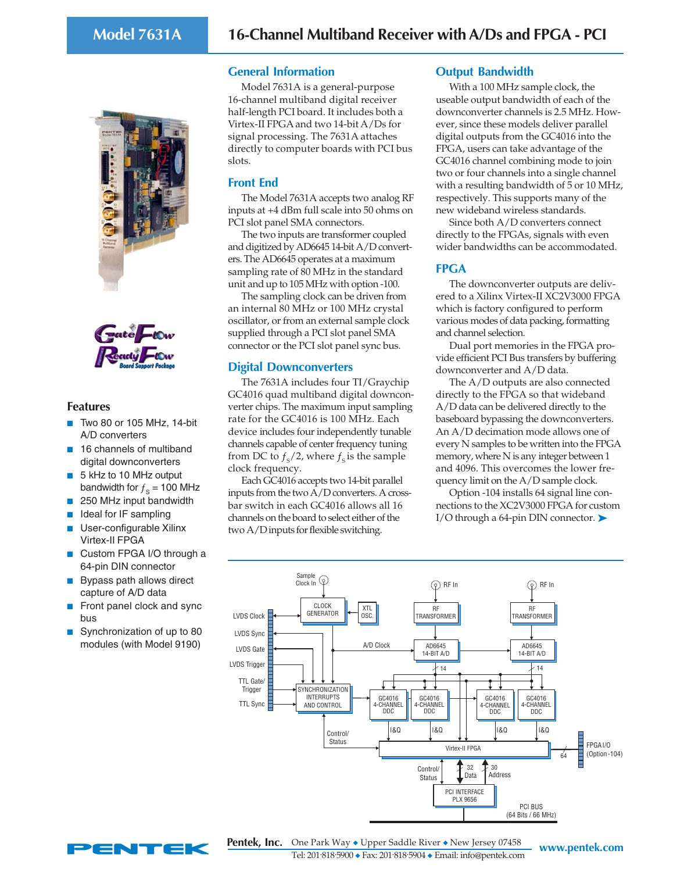



# **Features**

- Two 80 or 105 MHz, 14-bit A/D converters
- 16 channels of multiband digital downconverters
- 5 kHz to 10 MHz output bandwidth for  $f_s = 100$  MHz
- 250 MHz input bandwidth
- Ideal for IF sampling
- User-configurable Xilinx Virtex-II FPGA
- Custom FPGA I/O through a 64-pin DIN connector
- Bypass path allows direct capture of A/D data
- Front panel clock and sync bus
- Synchronization of up to 80 modules (with Model 9190)

# **General Information**

Model 7631A is a general-purpose 16-channel multiband digital receiver half-length PCI board. It includes both a Virtex-II FPGA and two 14-bit A/Ds for signal processing. The 7631A attaches directly to computer boards with PCI bus slots.

# **Front End**

The Model 7631A accepts two analog RF inputs at +4 dBm full scale into 50 ohms on PCI slot panel SMA connectors.

The two inputs are transformer coupled and digitized by AD6645 14-bit A/D converters. The AD6645 operates at a maximum sampling rate of 80 MHz in the standard unit and up to 105 MHz with option -100.

The sampling clock can be driven from an internal 80 MHz or 100 MHz crystal oscillator, or from an external sample clock supplied through a PCI slot panel SMA connector or the PCI slot panel sync bus.

# **Digital Downconverters**

The 7631A includes four TI/Graychip GC4016 quad multiband digital downconverter chips. The maximum input sampling rate for the GC4016 is 100 MHz. Each device includes four independently tunable channels capable of center frequency tuning from DC to  $f_{\rm s}$ /2, where  $f_{\rm s}$  is the sample clock frequency.

Each GC4016 accepts two 14-bit parallel inputs from the two A/D converters. A crossbar switch in each GC4016 allows all 16 channels on the board to select either of the two A/D inputs for flexible switching.

# **Output Bandwidth**

With a 100 MHz sample clock, the useable output bandwidth of each of the downconverter channels is 2.5 MHz. However, since these models deliver parallel digital outputs from the GC4016 into the FPGA, users can take advantage of the GC4016 channel combining mode to join two or four channels into a single channel with a resulting bandwidth of 5 or 10 MHz, respectively. This supports many of the new wideband wireless standards.

Since both A/D converters connect directly to the FPGAs, signals with even wider bandwidths can be accommodated.

# **FPGA**

The downconverter outputs are delivered to a Xilinx Virtex-II XC2V3000 FPGA which is factory configured to perform various modes of data packing, formatting and channel selection.

Dual port memories in the FPGA provide efficient PCI Bus transfers by buffering downconverter and A/D data.

The A/D outputs are also connected directly to the FPGA so that wideband A/D data can be delivered directly to the baseboard bypassing the downconverters. An A/D decimation mode allows one of every N samples to be written into the FPGA memory, where N is any integer between 1 and 4096. This overcomes the lower frequency limit on the A/D sample clock.

Option -104 installs 64 signal line connections to the XC2V3000 FPGA for custom I/O through a 64-pin DIN connector. ➤





**WRIGHT ONE Park Way ◆ Upper Saddle River ◆ New Jersey 07458 WWW.pentek.com** Tel: 201. 818. 5900 ◆ Fax: 201. 818. 5904 ◆ Email: info@pentek.com **Pentek, Inc.**